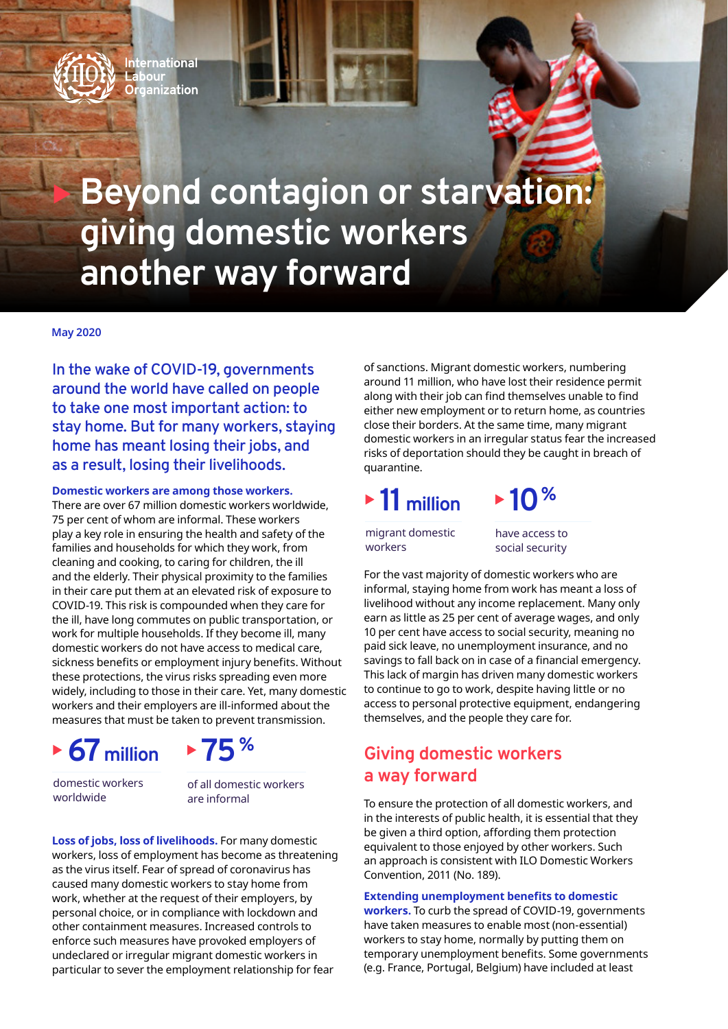

# **Beyond contagion or starvation: giving domestic workers another way forward**

#### **May 2020**

**In the wake of COVID-19, governments around the world have called on people to take one most important action: to stay home. But for many workers, staying home has meant losing their jobs, and as a result, losing their livelihoods.** 

**Domestic workers are among those workers.** 

There are over 67 million domestic workers worldwide, 75 per cent of whom are informal. These workers play a key role in ensuring the health and safety of the families and households for which they work, from cleaning and cooking, to caring for children, the ill and the elderly. Their physical proximity to the families in their care put them at an elevated risk of exposure to COVID-19. This risk is compounded when they care for the ill, have long commutes on public transportation, or work for multiple households. If they become ill, many domestic workers do not have access to medical care, sickness benefits or employment injury benefits. Without these protections, the virus risks spreading even more widely, including to those in their care. Yet, many domestic workers and their employers are ill-informed about the measures that must be taken to prevent transmission.





domestic workers worldwide

of all domestic workers are informal

**Loss of jobs, loss of livelihoods.** For many domestic workers, loss of employment has become as threatening as the virus itself. Fear of spread of coronavirus has caused many domestic workers to stay home from work, whether at the request of their employers, by personal choice, or in compliance with lockdown and other containment measures. Increased controls to enforce such measures have provoked employers of undeclared or irregular migrant domestic workers in particular to sever the employment relationship for fear

of sanctions. Migrant domestic workers, numbering around 11 million, who have lost their residence permit along with their job can find themselves unable to find either new employment or to return home, as countries close their borders. At the same time, many migrant domestic workers in an irregular status fear the increased risks of deportation should they be caught in breach of quarantine.

## **11million**

migrant domestic workers

have access to social security

 $\blacktriangleright$  10<sup>%</sup>

For the vast majority of domestic workers who are informal, staying home from work has meant a loss of livelihood without any income replacement. Many only earn as little as 25 per cent of average wages, and only 10 per cent have access to social security, meaning no paid sick leave, no unemployment insurance, and no savings to fall back on in case of a financial emergency. This lack of margin has driven many domestic workers to continue to go to work, despite having little or no access to personal protective equipment, endangering themselves, and the people they care for.

## **Giving domestic workers a way forward**

To ensure the protection of all domestic workers, and in the interests of public health, it is essential that they be given a third option, affording them protection equivalent to those enjoyed by other workers. Such an approach is consistent with ILO Domestic Workers Convention, 2011 (No. 189).

**Extending unemployment benefits to domestic workers.** To curb the spread of COVID-19, governments have taken measures to enable most (non-essential) workers to stay home, normally by putting them on temporary unemployment benefits. Some governments (e.g. France, Portugal, Belgium) have included at least